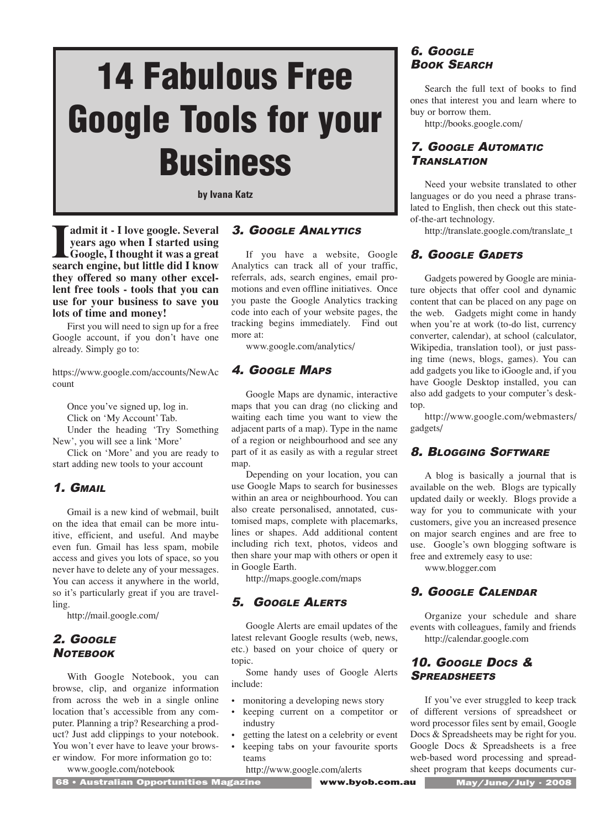# **14 Fabulous Free Google Tools for your Business**

**by Ivana Katz**

**I**<br> **search engine, and I started using<br>
<b>Search engine, but little did I know**<br> **search engine, but little did I know admit it - I love google. Several years ago when I started using Google, I thought it was a great they offered so many other excellent free tools - tools that you can use for your business to save you lots of time and money!** 

First you will need to sign up for a free Google account, if you don't have one already. Simply go to:

https://www.google.com/accounts/NewAc count

Once you've signed up, log in.

Click on 'My Account' Tab.

Under the heading 'Try Something New', you will see a link 'More'

Click on 'More' and you are ready to start adding new tools to your account

#### 1. GMAIL

Gmail is a new kind of webmail, built on the idea that email can be more intuitive, efficient, and useful. And maybe even fun. Gmail has less spam, mobile access and gives you lots of space, so you never have to delete any of your messages. You can access it anywhere in the world, so it's particularly great if you are travelling.

http://mail.google.com/

## 2. GOOGLE **NOTEBOOK**

With Google Notebook, you can browse, clip, and organize information from across the web in a single online location that's accessible from any computer. Planning a trip? Researching a product? Just add clippings to your notebook. You won't ever have to leave your browser window. For more information go to:

www.google.com/notebook

3. GOOGLE ANALYTICS

If you have a website, Google Analytics can track all of your traffic, referrals, ads, search engines, email promotions and even offline initiatives. Once you paste the Google Analytics tracking code into each of your website pages, the tracking begins immediately. Find out more at:

www.google.com/analytics/

## 4. GOOGLE MAPS

Google Maps are dynamic, interactive maps that you can drag (no clicking and waiting each time you want to view the adjacent parts of a map). Type in the name of a region or neighbourhood and see any part of it as easily as with a regular street map.

Depending on your location, you can use Google Maps to search for businesses within an area or neighbourhood. You can also create personalised, annotated, customised maps, complete with placemarks, lines or shapes. Add additional content including rich text, photos, videos and then share your map with others or open it in Google Earth.

http://maps.google.com/maps

## 5. GOOGLE ALERTS

Google Alerts are email updates of the latest relevant Google results (web, news, etc.) based on your choice of query or topic.

Some handy uses of Google Alerts include:

- monitoring a developing news story
- keeping current on a competitor or industry
- getting the latest on a celebrity or event
- keeping tabs on your favourite sports teams

http://www.google.com/alerts

6. GOOGLE BOOK SEARCH

Search the full text of books to find ones that interest you and learn where to buy or borrow them.

http://books.google.com/

# 7. GOOGLE AUTOMATIC **TRANSLATION**

Need your website translated to other languages or do you need a phrase translated to English, then check out this stateof-the-art technology.

http://translate.google.com/translate\_t

# 8. GOOGLE GADETS

Gadgets powered by Google are miniature objects that offer cool and dynamic content that can be placed on any page on the web. Gadgets might come in handy when you're at work (to-do list, currency converter, calendar), at school (calculator, Wikipedia, translation tool), or just passing time (news, blogs, games). You can add gadgets you like to iGoogle and, if you have Google Desktop installed, you can also add gadgets to your computer's desktop.

http://www.google.com/webmasters/ gadgets/

# 8. BLOGGING SOFTWARE

A blog is basically a journal that is available on the web. Blogs are typically updated daily or weekly. Blogs provide a way for you to communicate with your customers, give you an increased presence on major search engines and are free to use. Google's own blogging software is free and extremely easy to use:

www.blogger.com

# 9. GOOGLE CALENDAR

Organize your schedule and share events with colleagues, family and friends http://calendar.google.com

# 10. GOOGLE DOCS & **SPREADSHEETS**

If you've ever struggled to keep track of different versions of spreadsheet or word processor files sent by email, Google Docs & Spreadsheets may be right for you. Google Docs & Spreadsheets is a free web-based word processing and spreadsheet program that keeps documents cur-

68 **•** Australian Opportunities Magazine www.byob.com.au May/June/July • 2008